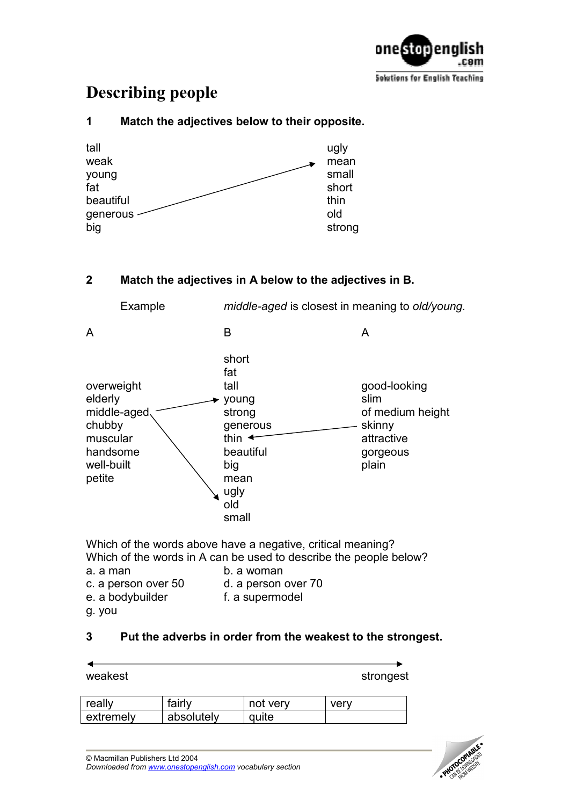

# Describing people

## tall was a controlled by the controller of the controller of the controller of the controller of the controller weak mean mean young small fat short short beautiful thin generous old big strong

1 Match the adjectives below to their opposite.

## 2 Match the adjectives in A below to the adjectives in B.

| Example                                                                                        | middle-aged is closest in meaning to old/young.                                                                                 |                                                                                       |
|------------------------------------------------------------------------------------------------|---------------------------------------------------------------------------------------------------------------------------------|---------------------------------------------------------------------------------------|
| A                                                                                              | B                                                                                                                               | A                                                                                     |
| overweight<br>elderly<br>middle-aged<br>chubby<br>muscular<br>handsome<br>well-built<br>petite | short<br>fat<br>tall<br>young<br>strong<br>generous<br>thin $\triangleleft$<br>beautiful<br>big<br>mean<br>ugly<br>old<br>small | good-looking<br>slim<br>of medium height<br>skinny<br>attractive<br>gorgeous<br>plain |

Which of the words above have a negative, critical meaning? Which of the words in A can be used to describe the people below? a. a man b. a woman

- c. a person over 50 d. a person over 70 e. a bodybuilder f. a supermodel
- g. you

## 3 Put the adverbs in order from the weakest to the strongest.

| weakest |        |          | strongest |  |
|---------|--------|----------|-----------|--|
| really  | fairly | not verv | verv      |  |

| absolutely<br>extremely | quite |  |
|-------------------------|-------|--|

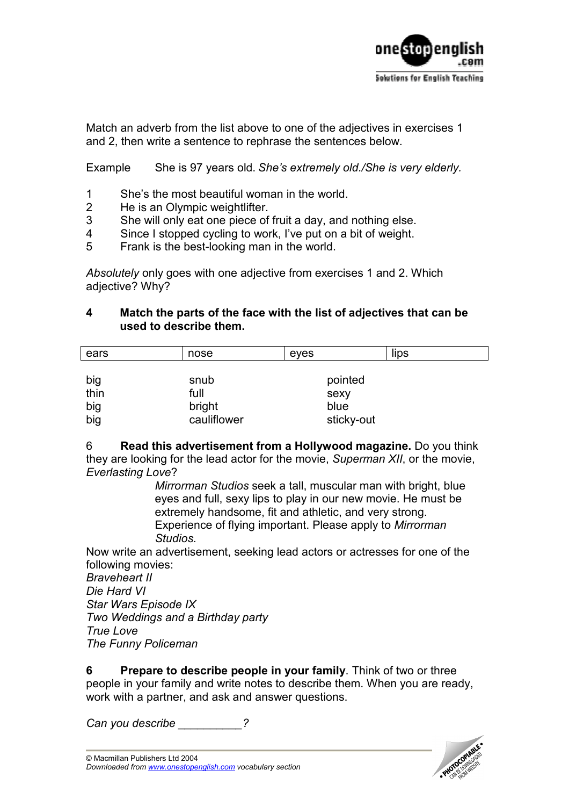

Match an adverb from the list above to one of the adjectives in exercises 1 and 2, then write a sentence to rephrase the sentences below.

Example She is 97 years old. She's extremely old./She is very elderly.

- 1 She's the most beautiful woman in the world.<br>2 He is an Olympic weightlifter
- He is an Olympic weightlifter.
- 3 She will only eat one piece of fruit a day, and nothing else.
- 4 Since I stopped cycling to work, I've put on a bit of weight.
- 5 Frank is the best-looking man in the world.

Absolutely only goes with one adjective from exercises 1 and 2. Which adjective? Why?

#### 4 Match the parts of the face with the list of adjectives that can be used to describe them.

| ears | nose        | eyes       | lips |
|------|-------------|------------|------|
|      |             |            |      |
| big  | snub        | pointed    |      |
| thin | full        | sexy       |      |
| big  | bright      | blue       |      |
| big  | cauliflower | sticky-out |      |

6 Read this advertisement from a Hollywood magazine. Do you think they are looking for the lead actor for the movie, Superman XII, or the movie, Everlasting Love?

Mirrorman Studios seek a tall, muscular man with bright, blue eyes and full, sexy lips to play in our new movie. He must be extremely handsome, fit and athletic, and very strong. Experience of flying important. Please apply to Mirrorman Studios.

Now write an advertisement, seeking lead actors or actresses for one of the following movies:

Braveheart II Die Hard VI Star Wars Episode IX Two Weddings and a Birthday party True Love The Funny Policeman

6 Prepare to describe people in your family. Think of two or three people in your family and write notes to describe them. When you are ready, work with a partner, and ask and answer questions.

Can you describe